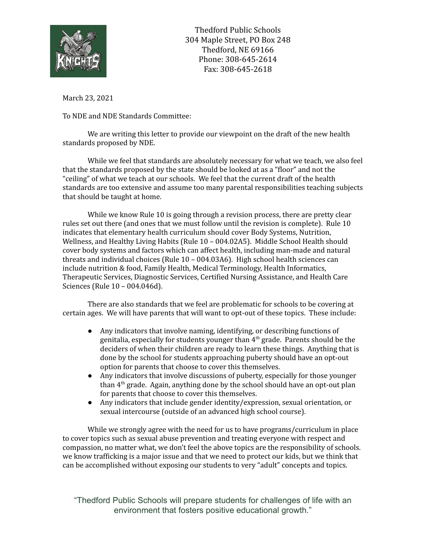

Thedford Public Schools 304 Maple Street, PO Box 248 Thedford, NE 69166 Phone: 308-645-2614 Fax: 308-645-2618

March 23, 2021

To NDE and NDE Standards Committee:

We are writing this letter to provide our viewpoint on the draft of the new health standards proposed by NDE.

While we feel that standards are absolutely necessary for what we teach, we also feel that the standards proposed by the state should be looked at as a "floor" and not the "ceiling" of what we teach at our schools. We feel that the current draft of the health standards are too extensive and assume too many parental responsibilities teaching subjects that should be taught at home.

While we know Rule 10 is going through a revision process, there are pretty clear rules set out there (and ones that we must follow until the revision is complete). Rule 10 indicates that elementary health curriculum should cover Body Systems, Nutrition, Wellness, and Healthy Living Habits (Rule 10 – 004.02A5). Middle School Health should cover body systems and factors which can affect health, including man-made and natural threats and individual choices (Rule 10 – 004.03A6). High school health sciences can include nutrition & food, Family Health, Medical Terminology, Health Informatics, Therapeutic Services, Diagnostic Services, Certified Nursing Assistance, and Health Care Sciences (Rule 10 – 004.046d).

There are also standards that we feel are problematic for schools to be covering at certain ages. We will have parents that will want to opt-out of these topics. These include:

- Any indicators that involve naming, identifying, or describing functions of genitalia, especially for students younger than  $4<sup>th</sup>$  grade. Parents should be the deciders of when their children are ready to learn these things. Anything that is done by the school for students approaching puberty should have an opt-out option for parents that choose to cover this themselves.
- Any indicators that involve discussions of puberty, especially for those younger than 4<sup>th</sup> grade. Again, anything done by the school should have an opt-out plan for parents that choose to cover this themselves.
- Any indicators that include gender identity/expression, sexual orientation, or sexual intercourse (outside of an advanced high school course).

While we strongly agree with the need for us to have programs/curriculum in place to cover topics such as sexual abuse prevention and treating everyone with respect and compassion, no matter what, we don't feel the above topics are the responsibility of schools. we know trafficking is a major issue and that we need to protect our kids, but we think that can be accomplished without exposing our students to very "adult" concepts and topics.

"Thedford Public Schools will prepare students for challenges of life with an environment that fosters positive educational growth."